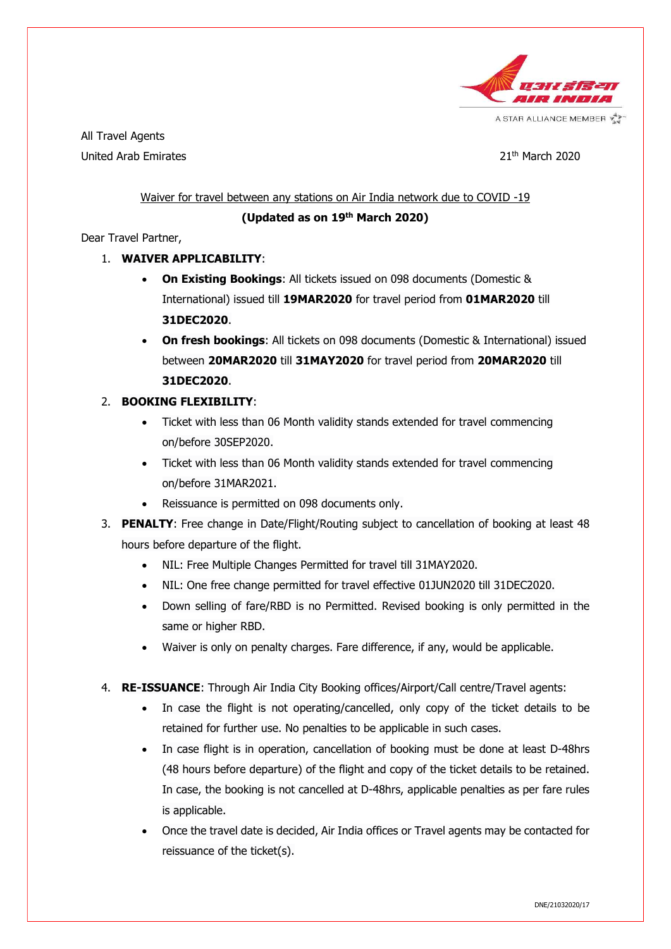

A STAR ALLIANCE MEMBER V

All Travel Agents United Arab Emirates 21th March 2020

## Waiver for travel between any stations on Air India network due to COVID -19

## (Updated as on 19<sup>th</sup> March 2020)

Dear Travel Partner,

## 1. WAIVER APPLICABILITY:

- On Existing Bookings: All tickets issued on 098 documents (Domestic & International) issued till 19MAR2020 for travel period from 01MAR2020 till 31DEC2020.
- On fresh bookings: All tickets on 098 documents (Domestic & International) issued between 20MAR2020 till 31MAY2020 for travel period from 20MAR2020 till 31DEC2020.

## 2. BOOKING FLEXIBILITY:

- Ticket with less than 06 Month validity stands extended for travel commencing on/before 30SEP2020.
- Ticket with less than 06 Month validity stands extended for travel commencing on/before 31MAR2021.
- Reissuance is permitted on 098 documents only.
- 3. **PENALTY:** Free change in Date/Flight/Routing subject to cancellation of booking at least 48 hours before departure of the flight.
	- NIL: Free Multiple Changes Permitted for travel till 31MAY2020.
	- NIL: One free change permitted for travel effective 01JUN2020 till 31DEC2020.
	- Down selling of fare/RBD is no Permitted. Revised booking is only permitted in the same or higher RBD.
	- Waiver is only on penalty charges. Fare difference, if any, would be applicable.
- 4. RE-ISSUANCE: Through Air India City Booking offices/Airport/Call centre/Travel agents:
	- In case the flight is not operating/cancelled, only copy of the ticket details to be retained for further use. No penalties to be applicable in such cases.
	- In case flight is in operation, cancellation of booking must be done at least D-48hrs (48 hours before departure) of the flight and copy of the ticket details to be retained. In case, the booking is not cancelled at D-48hrs, applicable penalties as per fare rules is applicable.
	- Once the travel date is decided, Air India offices or Travel agents may be contacted for reissuance of the ticket(s).